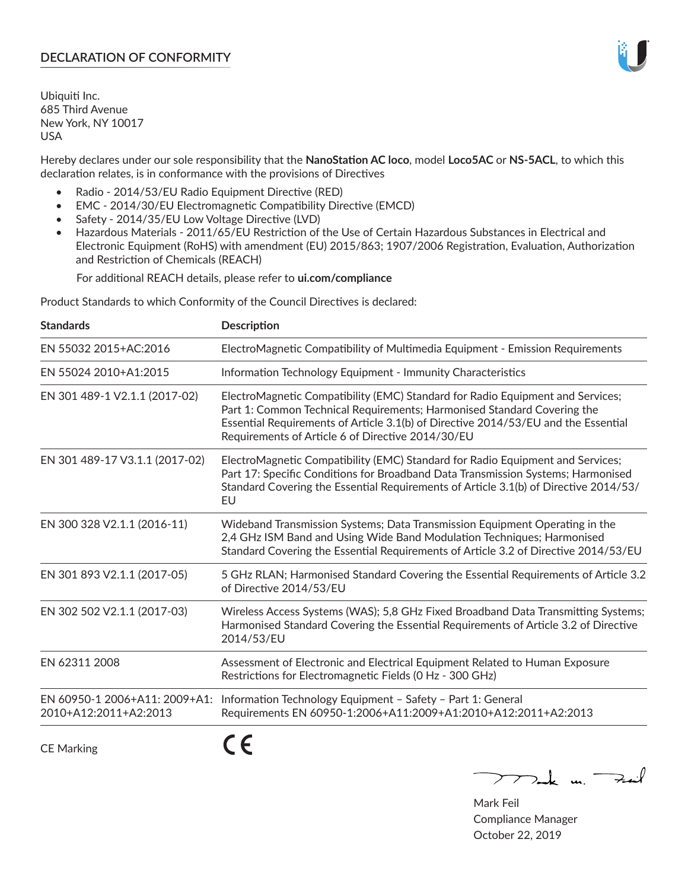# **DECLARATION OF CONFORMITY**

Ubiquiti Inc. 685 Third Avenue New York, NY 10017 USA

Hereby declares under our sole responsibility that the **NanoStation AC loco**, model **Loco5AC** or **NS-5ACL**, to which this declaration relates, is in conformance with the provisions of Directives

- Radio 2014/53/EU Radio Equipment Directive (RED)
- EMC 2014/30/EU Electromagnetic Compatibility Directive (EMCD)
- Safety 2014/35/EU Low Voltage Directive (LVD)
- Hazardous Materials 2011/65/EU Restriction of the Use of Certain Hazardous Substances in Electrical and Electronic Equipment (RoHS) with amendment (EU) 2015/863; 1907/2006 Registration, Evaluation, Authorization and Restriction of Chemicals (REACH)

For additional REACH details, please refer to **ui.com/compliance**

Product Standards to which Conformity of the Council Directives is declared:

| <b>Standards</b>                                       | <b>Description</b>                                                                                                                                                                                                                                                                                   |
|--------------------------------------------------------|------------------------------------------------------------------------------------------------------------------------------------------------------------------------------------------------------------------------------------------------------------------------------------------------------|
| EN 55032 2015+AC:2016                                  | ElectroMagnetic Compatibility of Multimedia Equipment - Emission Requirements                                                                                                                                                                                                                        |
| EN 55024 2010+A1:2015                                  | Information Technology Equipment - Immunity Characteristics                                                                                                                                                                                                                                          |
| EN 301 489-1 V2.1.1 (2017-02)                          | ElectroMagnetic Compatibility (EMC) Standard for Radio Equipment and Services;<br>Part 1: Common Technical Requirements; Harmonised Standard Covering the<br>Essential Requirements of Article 3.1(b) of Directive 2014/53/EU and the Essential<br>Requirements of Article 6 of Directive 2014/30/EU |
| EN 301 489-17 V3.1.1 (2017-02)                         | ElectroMagnetic Compatibility (EMC) Standard for Radio Equipment and Services;<br>Part 17: Specific Conditions for Broadband Data Transmission Systems; Harmonised<br>Standard Covering the Essential Requirements of Article 3.1(b) of Directive 2014/53/<br>EU                                     |
| EN 300 328 V2.1.1 (2016-11)                            | Wideband Transmission Systems; Data Transmission Equipment Operating in the<br>2,4 GHz ISM Band and Using Wide Band Modulation Techniques; Harmonised<br>Standard Covering the Essential Requirements of Article 3.2 of Directive 2014/53/EU                                                         |
| EN 301 893 V2.1.1 (2017-05)                            | 5 GHz RLAN; Harmonised Standard Covering the Essential Requirements of Article 3.2<br>of Directive 2014/53/EU                                                                                                                                                                                        |
| EN 302 502 V2.1.1 (2017-03)                            | Wireless Access Systems (WAS); 5,8 GHz Fixed Broadband Data Transmitting Systems;<br>Harmonised Standard Covering the Essential Requirements of Article 3.2 of Directive<br>2014/53/EU                                                                                                               |
| EN 62311 2008                                          | Assessment of Electronic and Electrical Equipment Related to Human Exposure<br>Restrictions for Electromagnetic Fields (0 Hz - 300 GHz)                                                                                                                                                              |
| EN 60950-1 2006+A11: 2009+A1:<br>2010+A12:2011+A2:2013 | Information Technology Equipment - Safety - Part 1: General<br>Requirements EN 60950-1:2006+A11:2009+A1:2010+A12:2011+A2:2013                                                                                                                                                                        |
|                                                        | - -                                                                                                                                                                                                                                                                                                  |

CE Marking

CE

 $\nabla$  and  $\nabla$  and  $\nabla$ 

Mark Feil Compliance Manager October 22, 2019

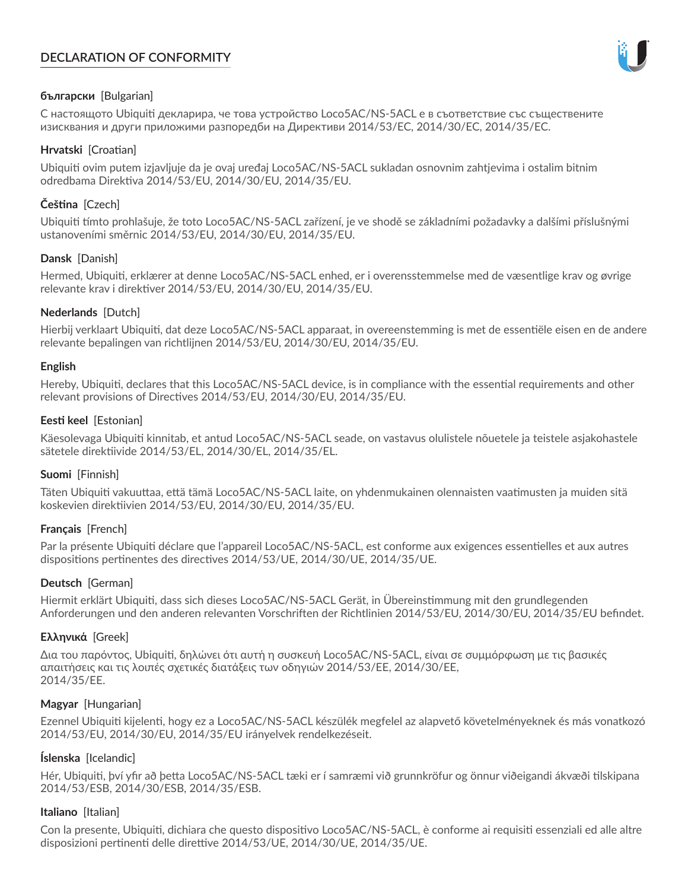# **DECLARATION OF CONFORMITY**



## **български** [Bulgarian]

С настоящото Ubiquiti декларира, че това устройство Loco5AC/NS-5ACL е в съответствие със съществените изисквания и други приложими разпоредби на Директиви 2014/53/EC, 2014/30/ЕС, 2014/35/ЕС.

## **Hrvatski** [Croatian]

Ubiquiti ovim putem izjavljuje da je ovaj uređaj Loco5AC/NS-5ACL sukladan osnovnim zahtjevima i ostalim bitnim odredbama Direktiva 2014/53/EU, 2014/30/EU, 2014/35/EU.

# **Čeština** [Czech]

Ubiquiti tímto prohlašuje, že toto Loco5AC/NS-5ACL zařízení, je ve shodě se základními požadavky a dalšími příslušnými ustanoveními směrnic 2014/53/EU, 2014/30/EU, 2014/35/EU.

## **Dansk** [Danish]

Hermed, Ubiquiti, erklærer at denne Loco5AC/NS-5ACL enhed, er i overensstemmelse med de væsentlige krav og øvrige relevante krav i direktiver 2014/53/EU, 2014/30/EU, 2014/35/EU.

## **Nederlands** [Dutch]

Hierbij verklaart Ubiquiti, dat deze Loco5AC/NS-5ACL apparaat, in overeenstemming is met de essentiële eisen en de andere relevante bepalingen van richtlijnen 2014/53/EU, 2014/30/EU, 2014/35/EU.

## **English**

Hereby, Ubiquiti, declares that this Loco5AC/NS-5ACL device, is in compliance with the essential requirements and other relevant provisions of Directives 2014/53/EU, 2014/30/EU, 2014/35/EU.

## **Eesti keel** [Estonian]

Käesolevaga Ubiquiti kinnitab, et antud Loco5AC/NS-5ACL seade, on vastavus olulistele nõuetele ja teistele asjakohastele sätetele direktiivide 2014/53/EL, 2014/30/EL, 2014/35/EL.

## **Suomi** [Finnish]

Täten Ubiquiti vakuuttaa, että tämä Loco5AC/NS-5ACL laite, on yhdenmukainen olennaisten vaatimusten ja muiden sitä koskevien direktiivien 2014/53/EU, 2014/30/EU, 2014/35/EU.

## **Français** [French]

Par la présente Ubiquiti déclare que l'appareil Loco5AC/NS-5ACL, est conforme aux exigences essentielles et aux autres dispositions pertinentes des directives 2014/53/UE, 2014/30/UE, 2014/35/UE.

# **Deutsch** [German]

Hiermit erklärt Ubiquiti, dass sich dieses Loco5AC/NS-5ACL Gerät, in Übereinstimmung mit den grundlegenden Anforderungen und den anderen relevanten Vorschriften der Richtlinien 2014/53/EU, 2014/30/EU, 2014/35/EU befindet.

## **Ελληνικά** [Greek]

Δια του παρόντος, Ubiquiti, δηλώνει ότι αυτή η συσκευή Loco5AC/NS-5ACL, είναι σε συμμόρφωση με τις βασικές απαιτήσεις και τις λοιπές σχετικές διατάξεις των οδηγιών 2014/53/EE, 2014/30/EE, 2014/35/EE.

## **Magyar** [Hungarian]

Ezennel Ubiquiti kijelenti, hogy ez a Loco5AC/NS-5ACL készülék megfelel az alapvető követelményeknek és más vonatkozó 2014/53/EU, 2014/30/EU, 2014/35/EU irányelvek rendelkezéseit.

## **Íslenska** [Icelandic]

Hér, Ubiquiti, því yfir að þetta Loco5AC/NS-5ACL tæki er í samræmi við grunnkröfur og önnur viðeigandi ákvæði tilskipana 2014/53/ESB, 2014/30/ESB, 2014/35/ESB.

## **Italiano** [Italian]

Con la presente, Ubiquiti, dichiara che questo dispositivo Loco5AC/NS-5ACL, è conforme ai requisiti essenziali ed alle altre disposizioni pertinenti delle direttive 2014/53/UE, 2014/30/UE, 2014/35/UE.